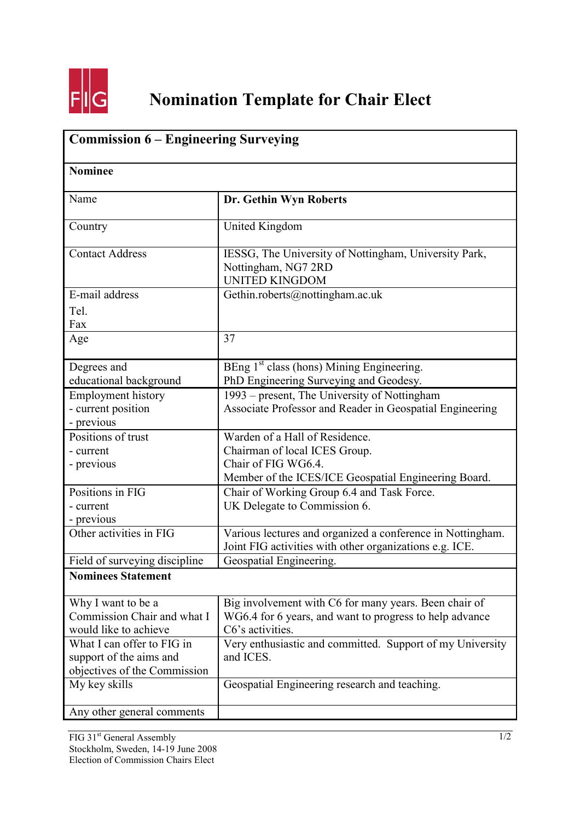

| <b>Commission 6 - Engineering Surveying</b><br><b>Nominee</b> |                                                                                                                       |  |
|---------------------------------------------------------------|-----------------------------------------------------------------------------------------------------------------------|--|
|                                                               |                                                                                                                       |  |
| Country                                                       | <b>United Kingdom</b>                                                                                                 |  |
| <b>Contact Address</b>                                        | IESSG, The University of Nottingham, University Park,<br>Nottingham, NG7 2RD<br><b>UNITED KINGDOM</b>                 |  |
| E-mail address                                                | Gethin.roberts@nottingham.ac.uk                                                                                       |  |
| Tel.<br>Fax                                                   |                                                                                                                       |  |
| Age                                                           | 37                                                                                                                    |  |
| Degrees and<br>educational background                         | BEng 1 <sup>st</sup> class (hons) Mining Engineering.<br>PhD Engineering Surveying and Geodesy.                       |  |
| <b>Employment history</b>                                     | 1993 – present, The University of Nottingham                                                                          |  |
| - current position<br>- previous                              | Associate Professor and Reader in Geospatial Engineering                                                              |  |
| Positions of trust                                            | Warden of a Hall of Residence.                                                                                        |  |
| - current                                                     | Chairman of local ICES Group.                                                                                         |  |
| - previous                                                    | Chair of FIG WG6.4.<br>Member of the ICES/ICE Geospatial Engineering Board.                                           |  |
| Positions in FIG                                              | Chair of Working Group 6.4 and Task Force.                                                                            |  |
| - current                                                     | UK Delegate to Commission 6.                                                                                          |  |
| - previous                                                    |                                                                                                                       |  |
| Other activities in FIG                                       | Various lectures and organized a conference in Nottingham.<br>Joint FIG activities with other organizations e.g. ICE. |  |
| Field of surveying discipline                                 | Geospatial Engineering.                                                                                               |  |
| <b>Nominees Statement</b>                                     |                                                                                                                       |  |
| Why I want to be a                                            | Big involvement with C6 for many years. Been chair of                                                                 |  |
| Commission Chair and what I                                   | WG6.4 for 6 years, and want to progress to help advance                                                               |  |
| would like to achieve                                         | C6's activities.                                                                                                      |  |
| What I can offer to FIG in<br>support of the aims and         | Very enthusiastic and committed. Support of my University<br>and ICES.                                                |  |
| objectives of the Commission                                  |                                                                                                                       |  |
| My key skills                                                 | Geospatial Engineering research and teaching.                                                                         |  |
| Any other general comments                                    |                                                                                                                       |  |